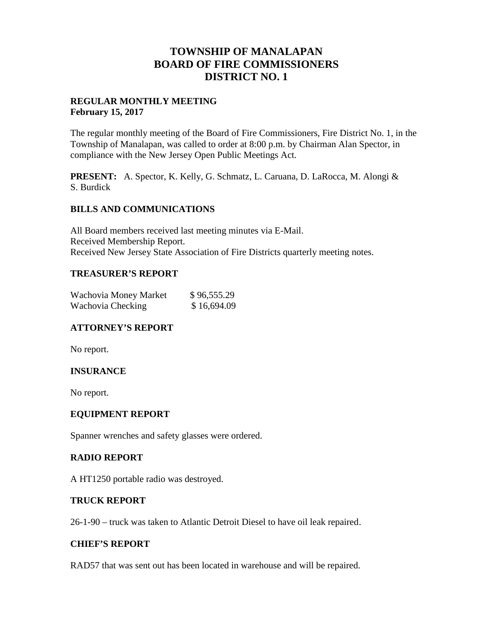# **TOWNSHIP OF MANALAPAN BOARD OF FIRE COMMISSIONERS DISTRICT NO. 1**

# **REGULAR MONTHLY MEETING February 15, 2017**

The regular monthly meeting of the Board of Fire Commissioners, Fire District No. 1, in the Township of Manalapan, was called to order at 8:00 p.m. by Chairman Alan Spector, in compliance with the New Jersey Open Public Meetings Act.

**PRESENT:** A. Spector, K. Kelly, G. Schmatz, L. Caruana, D. LaRocca, M. Alongi & S. Burdick

# **BILLS AND COMMUNICATIONS**

All Board members received last meeting minutes via E-Mail. Received Membership Report. Received New Jersey State Association of Fire Districts quarterly meeting notes.

# **TREASURER'S REPORT**

| Wachovia Money Market | \$96,555.29 |
|-----------------------|-------------|
| Wachovia Checking     | \$16,694.09 |

# **ATTORNEY'S REPORT**

No report.

# **INSURANCE**

No report.

#### **EQUIPMENT REPORT**

Spanner wrenches and safety glasses were ordered.

#### **RADIO REPORT**

A HT1250 portable radio was destroyed.

#### **TRUCK REPORT**

26-1-90 – truck was taken to Atlantic Detroit Diesel to have oil leak repaired.

#### **CHIEF'S REPORT**

RAD57 that was sent out has been located in warehouse and will be repaired.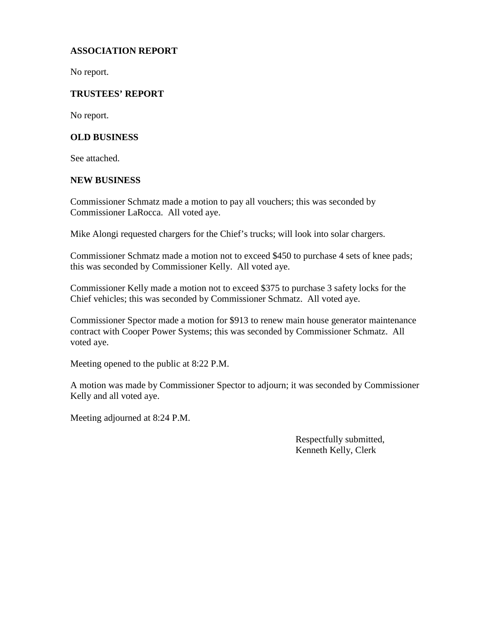# **ASSOCIATION REPORT**

No report.

# **TRUSTEES' REPORT**

No report.

#### **OLD BUSINESS**

See attached.

#### **NEW BUSINESS**

Commissioner Schmatz made a motion to pay all vouchers; this was seconded by Commissioner LaRocca. All voted aye.

Mike Alongi requested chargers for the Chief's trucks; will look into solar chargers.

Commissioner Schmatz made a motion not to exceed \$450 to purchase 4 sets of knee pads; this was seconded by Commissioner Kelly. All voted aye.

Commissioner Kelly made a motion not to exceed \$375 to purchase 3 safety locks for the Chief vehicles; this was seconded by Commissioner Schmatz. All voted aye.

Commissioner Spector made a motion for \$913 to renew main house generator maintenance contract with Cooper Power Systems; this was seconded by Commissioner Schmatz. All voted aye.

Meeting opened to the public at 8:22 P.M.

A motion was made by Commissioner Spector to adjourn; it was seconded by Commissioner Kelly and all voted aye.

Meeting adjourned at 8:24 P.M.

Respectfully submitted, Kenneth Kelly, Clerk